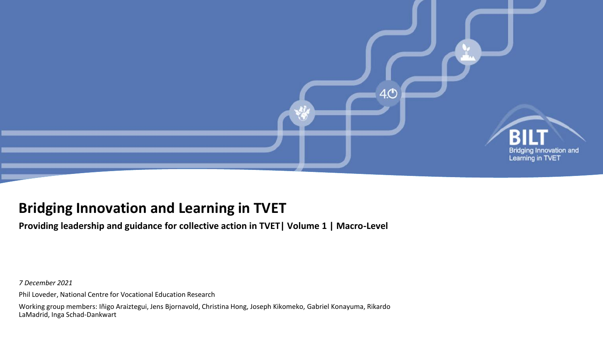

### **Bridging Innovation and Learning in TVET**

**Providing leadership and guidance for collective action in TVET| Volume 1 | Macro-Level**

*7 December 2021*

Phil Loveder, National Centre for Vocational Education Research

Working group members: Iñigo Araiztegui, Jens Bjornavold, Christina Hong, Joseph Kikomeko, Gabriel Konayuma, Rikardo LaMadrid, Inga Schad-Dankwart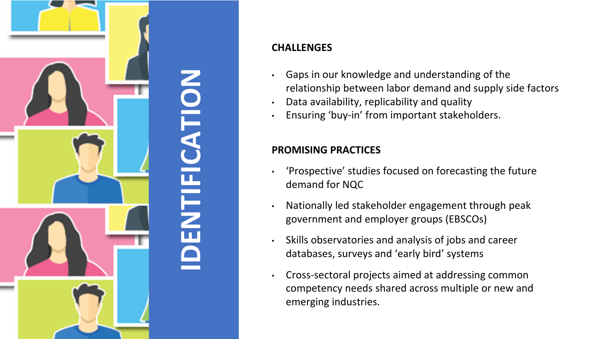

### **CHALLENGES**

- Gaps in our knowledge and understanding of the relationship between labor demand and supply side factors
- Data availability, replicability and quality
- Ensuring 'buy-in' from important stakeholders.

### **PROMISING PRACTICES**

- 'Prospective' studies focused on forecasting the future demand for NQC
- Nationally led stakeholder engagement through peak government and employer groups (EBSCOs)
- Skills observatories and analysis of jobs and career databases, surveys and 'early bird' systems
- Cross-sectoral projects aimed at addressing common competency needs shared across multiple or new and emerging industries.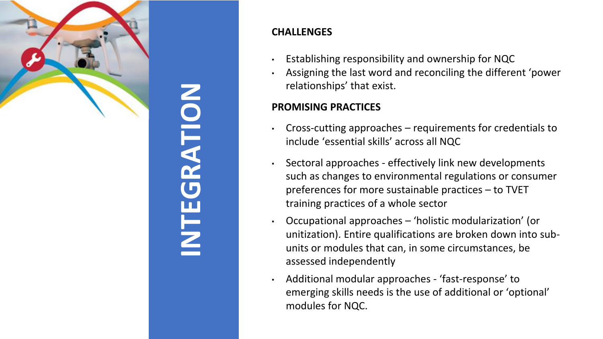

# **INTEGRATION**

### **CHALLENGES**

- Establishing responsibility and ownership for NQC
- Assigning the last word and reconciling the different 'power relationships' that exist.

### **PROMISING PRACTICES**

- Cross-cutting approaches requirements for credentials to include 'essential skills' across all NQC
- Sectoral approaches effectively link new developments such as changes to environmental regulations or consumer preferences for more sustainable practices – to TVET training practices of a whole sector
- Occupational approaches 'holistic modularization' (or unitization). Entire qualifications are broken down into subunits or modules that can, in some circumstances, be assessed independently
- Additional modular approaches 'fast-response' to emerging skills needs is the use of additional or 'optional' modules for NQC.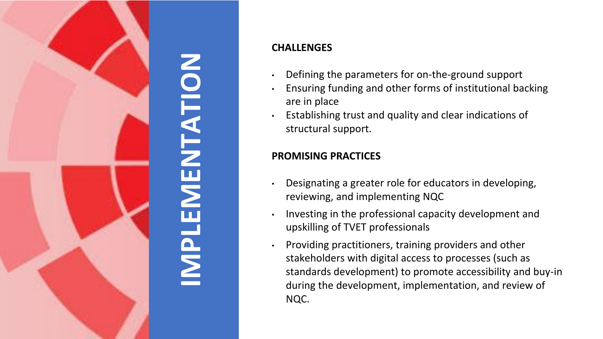

## **IMPLEMENTATION NENTATION**  $\overline{\text{NP}}$

### **CHALLENGES**

- Defining the parameters for on-the-ground support
- Ensuring funding and other forms of institutional backing are in place
- Establishing trust and quality and clear indications of structural support.

### **PROMISING PRACTICES**

- Designating a greater role for educators in developing, reviewing, and implementing NQC
- Investing in the professional capacity development and upskilling of TVET professionals
- Providing practitioners, training providers and other stakeholders with digital access to processes (such as standards development) to promote accessibility and buy-in during the development, implementation, and review of NQC.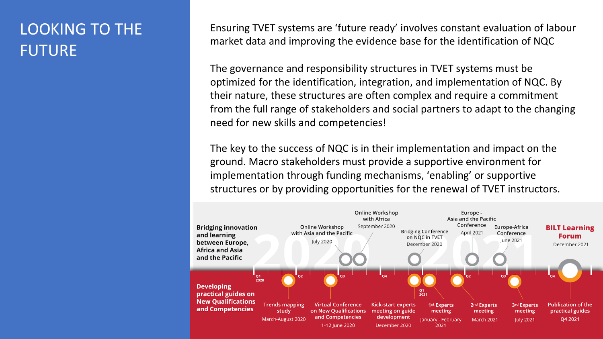## LOOKING TO THE FUTURE

Ensuring TVET systems are 'future ready' involves constant evaluation of labour market data and improving the evidence base for the identification of NQC

The governance and responsibility structures in TVET systems must be optimized for the identification, integration, and implementation of NQC. By their nature, these structures are often complex and require a commitment from the full range of stakeholders and social partners to adapt to the changing need for new skills and competencies!

The key to the success of NQC is in their implementation and impact on the ground. Macro stakeholders must provide a supportive environment for implementation through funding mechanisms, 'enabling' or supportive structures or by providing opportunities for the renewal of TVET instructors.